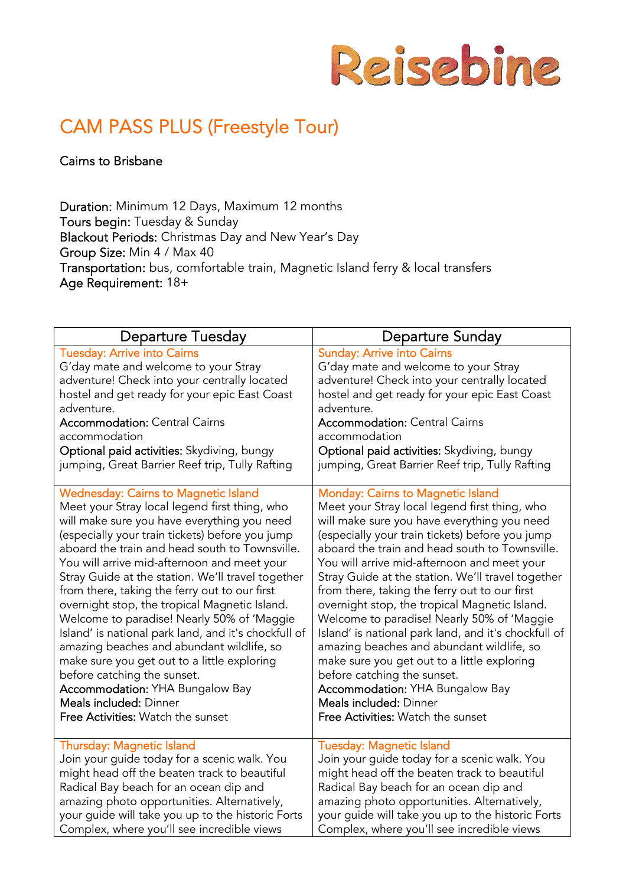

# CAM PASS PLUS (Freestyle Tour)

Cairns to Brisbane

Duration: Minimum 12 Days, Maximum 12 months Tours begin: Tuesday & Sunday Blackout Periods: Christmas Day and New Year's Day Group Size: Min 4 / Max 40 Transportation: bus, comfortable train, Magnetic Island ferry & local transfers Age Requirement: 18+

| <b>Departure Tuesday</b>                             | Departure Sunday                                     |
|------------------------------------------------------|------------------------------------------------------|
| <b>Tuesday: Arrive into Cairns</b>                   | <b>Sunday: Arrive into Cairns</b>                    |
| G'day mate and welcome to your Stray                 | G'day mate and welcome to your Stray                 |
| adventure! Check into your centrally located         | adventure! Check into your centrally located         |
| hostel and get ready for your epic East Coast        | hostel and get ready for your epic East Coast        |
| adventure.                                           | adventure.                                           |
| <b>Accommodation: Central Cairns</b>                 | <b>Accommodation: Central Cairns</b>                 |
| accommodation                                        | accommodation                                        |
| Optional paid activities: Skydiving, bungy           | Optional paid activities: Skydiving, bungy           |
| jumping, Great Barrier Reef trip, Tully Rafting      | jumping, Great Barrier Reef trip, Tully Rafting      |
| <b>Wednesday: Cairns to Magnetic Island</b>          | Monday: Cairns to Magnetic Island                    |
| Meet your Stray local legend first thing, who        | Meet your Stray local legend first thing, who        |
| will make sure you have everything you need          | will make sure you have everything you need          |
| (especially your train tickets) before you jump      | (especially your train tickets) before you jump      |
| aboard the train and head south to Townsville.       | aboard the train and head south to Townsville.       |
| You will arrive mid-afternoon and meet your          | You will arrive mid-afternoon and meet your          |
| Stray Guide at the station. We'll travel together    | Stray Guide at the station. We'll travel together    |
| from there, taking the ferry out to our first        | from there, taking the ferry out to our first        |
| overnight stop, the tropical Magnetic Island.        | overnight stop, the tropical Magnetic Island.        |
| Welcome to paradise! Nearly 50% of 'Maggie           | Welcome to paradise! Nearly 50% of 'Maggie           |
| Island' is national park land, and it's chockfull of | Island' is national park land, and it's chockfull of |
| amazing beaches and abundant wildlife, so            | amazing beaches and abundant wildlife, so            |
| make sure you get out to a little exploring          | make sure you get out to a little exploring          |
| before catching the sunset.                          | before catching the sunset.                          |
| <b>Accommodation: YHA Bungalow Bay</b>               | <b>Accommodation: YHA Bungalow Bay</b>               |
| Meals included: Dinner                               | Meals included: Dinner                               |
| Free Activities: Watch the sunset                    | Free Activities: Watch the sunset                    |
| <b>Thursday: Magnetic Island</b>                     | <b>Tuesday: Magnetic Island</b>                      |
| Join your guide today for a scenic walk. You         | Join your guide today for a scenic walk. You         |
| might head off the beaten track to beautiful         | might head off the beaten track to beautiful         |
| Radical Bay beach for an ocean dip and               | Radical Bay beach for an ocean dip and               |
| amazing photo opportunities. Alternatively,          | amazing photo opportunities. Alternatively,          |
| your guide will take you up to the historic Forts    | your guide will take you up to the historic Forts    |
| Complex, where you'll see incredible views           | Complex, where you'll see incredible views           |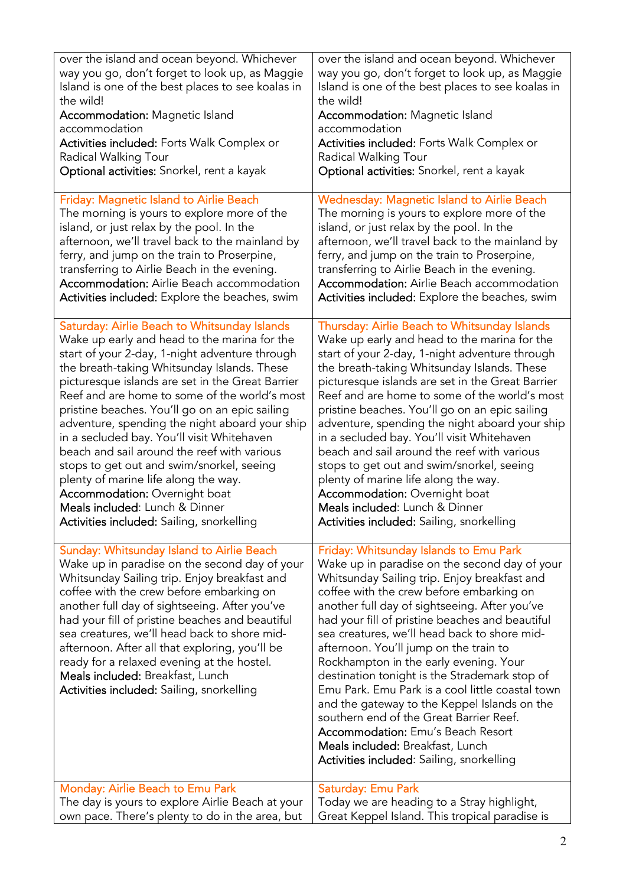| over the island and ocean beyond. Whichever                                                                                                                                                                                                                                                                                                                                                                                                                                                                                 | over the island and ocean beyond. Whichever                                                                                                                                                                                                                                                                                                                                                                                                                                                                                                                                                                                                                                                                                                              |
|-----------------------------------------------------------------------------------------------------------------------------------------------------------------------------------------------------------------------------------------------------------------------------------------------------------------------------------------------------------------------------------------------------------------------------------------------------------------------------------------------------------------------------|----------------------------------------------------------------------------------------------------------------------------------------------------------------------------------------------------------------------------------------------------------------------------------------------------------------------------------------------------------------------------------------------------------------------------------------------------------------------------------------------------------------------------------------------------------------------------------------------------------------------------------------------------------------------------------------------------------------------------------------------------------|
| way you go, don't forget to look up, as Maggie                                                                                                                                                                                                                                                                                                                                                                                                                                                                              | way you go, don't forget to look up, as Maggie                                                                                                                                                                                                                                                                                                                                                                                                                                                                                                                                                                                                                                                                                                           |
| Island is one of the best places to see koalas in                                                                                                                                                                                                                                                                                                                                                                                                                                                                           | Island is one of the best places to see koalas in                                                                                                                                                                                                                                                                                                                                                                                                                                                                                                                                                                                                                                                                                                        |
| the wild!                                                                                                                                                                                                                                                                                                                                                                                                                                                                                                                   | the wild!                                                                                                                                                                                                                                                                                                                                                                                                                                                                                                                                                                                                                                                                                                                                                |
| <b>Accommodation: Magnetic Island</b>                                                                                                                                                                                                                                                                                                                                                                                                                                                                                       | <b>Accommodation: Magnetic Island</b>                                                                                                                                                                                                                                                                                                                                                                                                                                                                                                                                                                                                                                                                                                                    |
| accommodation                                                                                                                                                                                                                                                                                                                                                                                                                                                                                                               | accommodation                                                                                                                                                                                                                                                                                                                                                                                                                                                                                                                                                                                                                                                                                                                                            |
| <b>Activities included:</b> Forts Walk Complex or                                                                                                                                                                                                                                                                                                                                                                                                                                                                           | Activities included: Forts Walk Complex or                                                                                                                                                                                                                                                                                                                                                                                                                                                                                                                                                                                                                                                                                                               |
| Radical Walking Tour                                                                                                                                                                                                                                                                                                                                                                                                                                                                                                        | Radical Walking Tour                                                                                                                                                                                                                                                                                                                                                                                                                                                                                                                                                                                                                                                                                                                                     |
| Optional activities: Snorkel, rent a kayak                                                                                                                                                                                                                                                                                                                                                                                                                                                                                  | Optional activities: Snorkel, rent a kayak                                                                                                                                                                                                                                                                                                                                                                                                                                                                                                                                                                                                                                                                                                               |
| Friday: Magnetic Island to Airlie Beach                                                                                                                                                                                                                                                                                                                                                                                                                                                                                     | <b>Wednesday: Magnetic Island to Airlie Beach</b>                                                                                                                                                                                                                                                                                                                                                                                                                                                                                                                                                                                                                                                                                                        |
| The morning is yours to explore more of the                                                                                                                                                                                                                                                                                                                                                                                                                                                                                 | The morning is yours to explore more of the                                                                                                                                                                                                                                                                                                                                                                                                                                                                                                                                                                                                                                                                                                              |
| island, or just relax by the pool. In the                                                                                                                                                                                                                                                                                                                                                                                                                                                                                   | island, or just relax by the pool. In the                                                                                                                                                                                                                                                                                                                                                                                                                                                                                                                                                                                                                                                                                                                |
| afternoon, we'll travel back to the mainland by                                                                                                                                                                                                                                                                                                                                                                                                                                                                             | afternoon, we'll travel back to the mainland by                                                                                                                                                                                                                                                                                                                                                                                                                                                                                                                                                                                                                                                                                                          |
| ferry, and jump on the train to Proserpine,                                                                                                                                                                                                                                                                                                                                                                                                                                                                                 | ferry, and jump on the train to Proserpine,                                                                                                                                                                                                                                                                                                                                                                                                                                                                                                                                                                                                                                                                                                              |
| transferring to Airlie Beach in the evening.                                                                                                                                                                                                                                                                                                                                                                                                                                                                                | transferring to Airlie Beach in the evening.                                                                                                                                                                                                                                                                                                                                                                                                                                                                                                                                                                                                                                                                                                             |
| <b>Accommodation:</b> Airlie Beach accommodation                                                                                                                                                                                                                                                                                                                                                                                                                                                                            | <b>Accommodation:</b> Airlie Beach accommodation                                                                                                                                                                                                                                                                                                                                                                                                                                                                                                                                                                                                                                                                                                         |
| Activities included: Explore the beaches, swim                                                                                                                                                                                                                                                                                                                                                                                                                                                                              | Activities included: Explore the beaches, swim                                                                                                                                                                                                                                                                                                                                                                                                                                                                                                                                                                                                                                                                                                           |
| Saturday: Airlie Beach to Whitsunday Islands                                                                                                                                                                                                                                                                                                                                                                                                                                                                                | Thursday: Airlie Beach to Whitsunday Islands                                                                                                                                                                                                                                                                                                                                                                                                                                                                                                                                                                                                                                                                                                             |
| Wake up early and head to the marina for the                                                                                                                                                                                                                                                                                                                                                                                                                                                                                | Wake up early and head to the marina for the                                                                                                                                                                                                                                                                                                                                                                                                                                                                                                                                                                                                                                                                                                             |
| start of your 2-day, 1-night adventure through                                                                                                                                                                                                                                                                                                                                                                                                                                                                              | start of your 2-day, 1-night adventure through                                                                                                                                                                                                                                                                                                                                                                                                                                                                                                                                                                                                                                                                                                           |
| the breath-taking Whitsunday Islands. These                                                                                                                                                                                                                                                                                                                                                                                                                                                                                 | the breath-taking Whitsunday Islands. These                                                                                                                                                                                                                                                                                                                                                                                                                                                                                                                                                                                                                                                                                                              |
| picturesque islands are set in the Great Barrier                                                                                                                                                                                                                                                                                                                                                                                                                                                                            | picturesque islands are set in the Great Barrier                                                                                                                                                                                                                                                                                                                                                                                                                                                                                                                                                                                                                                                                                                         |
| Reef and are home to some of the world's most                                                                                                                                                                                                                                                                                                                                                                                                                                                                               | Reef and are home to some of the world's most                                                                                                                                                                                                                                                                                                                                                                                                                                                                                                                                                                                                                                                                                                            |
| pristine beaches. You'll go on an epic sailing                                                                                                                                                                                                                                                                                                                                                                                                                                                                              | pristine beaches. You'll go on an epic sailing                                                                                                                                                                                                                                                                                                                                                                                                                                                                                                                                                                                                                                                                                                           |
| adventure, spending the night aboard your ship                                                                                                                                                                                                                                                                                                                                                                                                                                                                              | adventure, spending the night aboard your ship                                                                                                                                                                                                                                                                                                                                                                                                                                                                                                                                                                                                                                                                                                           |
| in a secluded bay. You'll visit Whitehaven                                                                                                                                                                                                                                                                                                                                                                                                                                                                                  | in a secluded bay. You'll visit Whitehaven                                                                                                                                                                                                                                                                                                                                                                                                                                                                                                                                                                                                                                                                                                               |
| beach and sail around the reef with various                                                                                                                                                                                                                                                                                                                                                                                                                                                                                 | beach and sail around the reef with various                                                                                                                                                                                                                                                                                                                                                                                                                                                                                                                                                                                                                                                                                                              |
| stops to get out and swim/snorkel, seeing                                                                                                                                                                                                                                                                                                                                                                                                                                                                                   | stops to get out and swim/snorkel, seeing                                                                                                                                                                                                                                                                                                                                                                                                                                                                                                                                                                                                                                                                                                                |
| plenty of marine life along the way.                                                                                                                                                                                                                                                                                                                                                                                                                                                                                        | plenty of marine life along the way.                                                                                                                                                                                                                                                                                                                                                                                                                                                                                                                                                                                                                                                                                                                     |
| <b>Accommodation: Overnight boat</b>                                                                                                                                                                                                                                                                                                                                                                                                                                                                                        | <b>Accommodation: Overnight boat</b>                                                                                                                                                                                                                                                                                                                                                                                                                                                                                                                                                                                                                                                                                                                     |
| Meals included: Lunch & Dinner                                                                                                                                                                                                                                                                                                                                                                                                                                                                                              | Meals included: Lunch & Dinner                                                                                                                                                                                                                                                                                                                                                                                                                                                                                                                                                                                                                                                                                                                           |
| Activities included: Sailing, snorkelling                                                                                                                                                                                                                                                                                                                                                                                                                                                                                   | Activities included: Sailing, snorkelling                                                                                                                                                                                                                                                                                                                                                                                                                                                                                                                                                                                                                                                                                                                |
| Sunday: Whitsunday Island to Airlie Beach<br>Wake up in paradise on the second day of your<br>Whitsunday Sailing trip. Enjoy breakfast and<br>coffee with the crew before embarking on<br>another full day of sightseeing. After you've<br>had your fill of pristine beaches and beautiful<br>sea creatures, we'll head back to shore mid-<br>afternoon. After all that exploring, you'll be<br>ready for a relaxed evening at the hostel.<br>Meals included: Breakfast, Lunch<br>Activities included: Sailing, snorkelling | Friday: Whitsunday Islands to Emu Park<br>Wake up in paradise on the second day of your<br>Whitsunday Sailing trip. Enjoy breakfast and<br>coffee with the crew before embarking on<br>another full day of sightseeing. After you've<br>had your fill of pristine beaches and beautiful<br>sea creatures, we'll head back to shore mid-<br>afternoon. You'll jump on the train to<br>Rockhampton in the early evening. Your<br>destination tonight is the Strademark stop of<br>Emu Park. Emu Park is a cool little coastal town<br>and the gateway to the Keppel Islands on the<br>southern end of the Great Barrier Reef.<br><b>Accommodation:</b> Emu's Beach Resort<br>Meals included: Breakfast, Lunch<br>Activities included: Sailing, snorkelling |
| Monday: Airlie Beach to Emu Park                                                                                                                                                                                                                                                                                                                                                                                                                                                                                            | Saturday: Emu Park                                                                                                                                                                                                                                                                                                                                                                                                                                                                                                                                                                                                                                                                                                                                       |
| The day is yours to explore Airlie Beach at your                                                                                                                                                                                                                                                                                                                                                                                                                                                                            | Today we are heading to a Stray highlight,                                                                                                                                                                                                                                                                                                                                                                                                                                                                                                                                                                                                                                                                                                               |
| own pace. There's plenty to do in the area, but                                                                                                                                                                                                                                                                                                                                                                                                                                                                             | Great Keppel Island. This tropical paradise is                                                                                                                                                                                                                                                                                                                                                                                                                                                                                                                                                                                                                                                                                                           |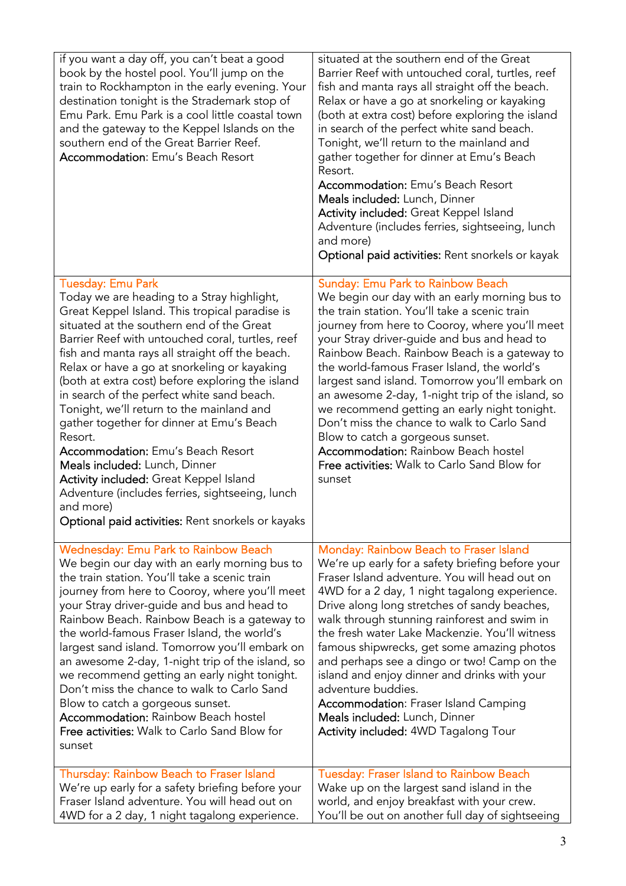| if you want a day off, you can't beat a good<br>book by the hostel pool. You'll jump on the<br>train to Rockhampton in the early evening. Your<br>destination tonight is the Strademark stop of<br>Emu Park. Emu Park is a cool little coastal town<br>and the gateway to the Keppel Islands on the<br>southern end of the Great Barrier Reef.<br><b>Accommodation: Emu's Beach Resort</b>                                                                                                                                                                                                                                                                                                                                                                                      | situated at the southern end of the Great<br>Barrier Reef with untouched coral, turtles, reef<br>fish and manta rays all straight off the beach.<br>Relax or have a go at snorkeling or kayaking<br>(both at extra cost) before exploring the island<br>in search of the perfect white sand beach.<br>Tonight, we'll return to the mainland and<br>gather together for dinner at Emu's Beach<br>Resort.<br><b>Accommodation:</b> Emu's Beach Resort<br>Meals included: Lunch, Dinner<br>Activity included: Great Keppel Island<br>Adventure (includes ferries, sightseeing, lunch<br>and more)<br>Optional paid activities: Rent snorkels or kayak                                          |
|---------------------------------------------------------------------------------------------------------------------------------------------------------------------------------------------------------------------------------------------------------------------------------------------------------------------------------------------------------------------------------------------------------------------------------------------------------------------------------------------------------------------------------------------------------------------------------------------------------------------------------------------------------------------------------------------------------------------------------------------------------------------------------|---------------------------------------------------------------------------------------------------------------------------------------------------------------------------------------------------------------------------------------------------------------------------------------------------------------------------------------------------------------------------------------------------------------------------------------------------------------------------------------------------------------------------------------------------------------------------------------------------------------------------------------------------------------------------------------------|
| <b>Tuesday: Emu Park</b><br>Today we are heading to a Stray highlight,<br>Great Keppel Island. This tropical paradise is<br>situated at the southern end of the Great<br>Barrier Reef with untouched coral, turtles, reef<br>fish and manta rays all straight off the beach.<br>Relax or have a go at snorkeling or kayaking<br>(both at extra cost) before exploring the island<br>in search of the perfect white sand beach.<br>Tonight, we'll return to the mainland and<br>gather together for dinner at Emu's Beach<br>Resort.<br><b>Accommodation:</b> Emu's Beach Resort<br>Meals included: Lunch, Dinner<br>Activity included: Great Keppel Island<br>Adventure (includes ferries, sightseeing, lunch<br>and more)<br>Optional paid activities: Rent snorkels or kayaks | <b>Sunday: Emu Park to Rainbow Beach</b><br>We begin our day with an early morning bus to<br>the train station. You'll take a scenic train<br>journey from here to Cooroy, where you'll meet<br>your Stray driver-guide and bus and head to<br>Rainbow Beach. Rainbow Beach is a gateway to<br>the world-famous Fraser Island, the world's<br>largest sand island. Tomorrow you'll embark on<br>an awesome 2-day, 1-night trip of the island, so<br>we recommend getting an early night tonight.<br>Don't miss the chance to walk to Carlo Sand<br>Blow to catch a gorgeous sunset.<br><b>Accommodation: Rainbow Beach hostel</b><br>Free activities: Walk to Carlo Sand Blow for<br>sunset |
| <b>Wednesday: Emu Park to Rainbow Beach</b><br>We begin our day with an early morning bus to<br>the train station. You'll take a scenic train<br>journey from here to Cooroy, where you'll meet<br>your Stray driver-guide and bus and head to<br>Rainbow Beach. Rainbow Beach is a gateway to<br>the world-famous Fraser Island, the world's<br>largest sand island. Tomorrow you'll embark on<br>an awesome 2-day, 1-night trip of the island, so<br>we recommend getting an early night tonight.<br>Don't miss the chance to walk to Carlo Sand<br>Blow to catch a gorgeous sunset.<br><b>Accommodation: Rainbow Beach hostel</b><br>Free activities: Walk to Carlo Sand Blow for<br>sunset                                                                                  | Monday: Rainbow Beach to Fraser Island<br>We're up early for a safety briefing before your<br>Fraser Island adventure. You will head out on<br>4WD for a 2 day, 1 night tagalong experience.<br>Drive along long stretches of sandy beaches,<br>walk through stunning rainforest and swim in<br>the fresh water Lake Mackenzie. You'll witness<br>famous shipwrecks, get some amazing photos<br>and perhaps see a dingo or two! Camp on the<br>island and enjoy dinner and drinks with your<br>adventure buddies.<br><b>Accommodation: Fraser Island Camping</b><br>Meals included: Lunch, Dinner<br>Activity included: 4WD Tagalong Tour                                                   |
| Thursday: Rainbow Beach to Fraser Island<br>We're up early for a safety briefing before your<br>Fraser Island adventure. You will head out on<br>4WD for a 2 day, 1 night tagalong experience.                                                                                                                                                                                                                                                                                                                                                                                                                                                                                                                                                                                  | <b>Tuesday: Fraser Island to Rainbow Beach</b><br>Wake up on the largest sand island in the<br>world, and enjoy breakfast with your crew.<br>You'll be out on another full day of sightseeing                                                                                                                                                                                                                                                                                                                                                                                                                                                                                               |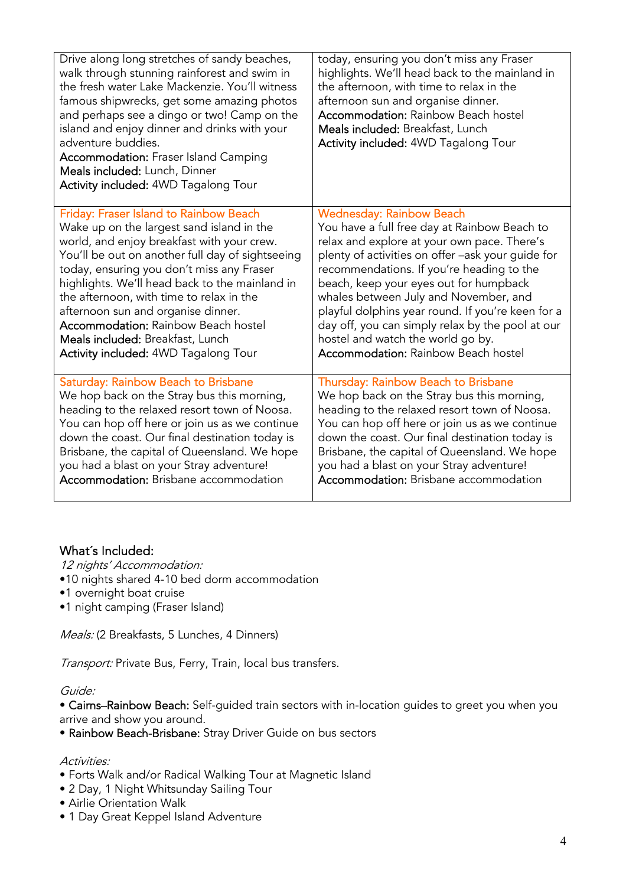| Drive along long stretches of sandy beaches,<br>walk through stunning rainforest and swim in<br>the fresh water Lake Mackenzie. You'll witness<br>famous shipwrecks, get some amazing photos<br>and perhaps see a dingo or two! Camp on the<br>island and enjoy dinner and drinks with your<br>adventure buddies.<br><b>Accommodation: Fraser Island Camping</b><br>Meals included: Lunch, Dinner<br>Activity included: 4WD Tagalong Tour | today, ensuring you don't miss any Fraser<br>highlights. We'll head back to the mainland in<br>the afternoon, with time to relax in the<br>afternoon sun and organise dinner.<br><b>Accommodation: Rainbow Beach hostel</b><br>Meals included: Breakfast, Lunch<br>Activity included: 4WD Tagalong Tour |
|-------------------------------------------------------------------------------------------------------------------------------------------------------------------------------------------------------------------------------------------------------------------------------------------------------------------------------------------------------------------------------------------------------------------------------------------|---------------------------------------------------------------------------------------------------------------------------------------------------------------------------------------------------------------------------------------------------------------------------------------------------------|
| Friday: Fraser Island to Rainbow Beach                                                                                                                                                                                                                                                                                                                                                                                                    | <b>Wednesday: Rainbow Beach</b>                                                                                                                                                                                                                                                                         |
| Wake up on the largest sand island in the                                                                                                                                                                                                                                                                                                                                                                                                 | You have a full free day at Rainbow Beach to                                                                                                                                                                                                                                                            |
| world, and enjoy breakfast with your crew.                                                                                                                                                                                                                                                                                                                                                                                                | relax and explore at your own pace. There's                                                                                                                                                                                                                                                             |
| You'll be out on another full day of sightseeing                                                                                                                                                                                                                                                                                                                                                                                          | plenty of activities on offer -ask your guide for                                                                                                                                                                                                                                                       |
| today, ensuring you don't miss any Fraser                                                                                                                                                                                                                                                                                                                                                                                                 | recommendations. If you're heading to the                                                                                                                                                                                                                                                               |
| highlights. We'll head back to the mainland in                                                                                                                                                                                                                                                                                                                                                                                            | beach, keep your eyes out for humpback                                                                                                                                                                                                                                                                  |
| the afternoon, with time to relax in the                                                                                                                                                                                                                                                                                                                                                                                                  | whales between July and November, and                                                                                                                                                                                                                                                                   |
| afternoon sun and organise dinner.                                                                                                                                                                                                                                                                                                                                                                                                        | playful dolphins year round. If you're keen for a                                                                                                                                                                                                                                                       |
| <b>Accommodation: Rainbow Beach hostel</b>                                                                                                                                                                                                                                                                                                                                                                                                | day off, you can simply relax by the pool at our                                                                                                                                                                                                                                                        |
| Meals included: Breakfast, Lunch                                                                                                                                                                                                                                                                                                                                                                                                          | hostel and watch the world go by.                                                                                                                                                                                                                                                                       |
| Activity included: 4WD Tagalong Tour                                                                                                                                                                                                                                                                                                                                                                                                      | <b>Accommodation: Rainbow Beach hostel</b>                                                                                                                                                                                                                                                              |
| Saturday: Rainbow Beach to Brisbane                                                                                                                                                                                                                                                                                                                                                                                                       | Thursday: Rainbow Beach to Brisbane                                                                                                                                                                                                                                                                     |
| We hop back on the Stray bus this morning,                                                                                                                                                                                                                                                                                                                                                                                                | We hop back on the Stray bus this morning,                                                                                                                                                                                                                                                              |
| heading to the relaxed resort town of Noosa.                                                                                                                                                                                                                                                                                                                                                                                              | heading to the relaxed resort town of Noosa.                                                                                                                                                                                                                                                            |
| You can hop off here or join us as we continue                                                                                                                                                                                                                                                                                                                                                                                            | You can hop off here or join us as we continue                                                                                                                                                                                                                                                          |
| down the coast. Our final destination today is                                                                                                                                                                                                                                                                                                                                                                                            | down the coast. Our final destination today is                                                                                                                                                                                                                                                          |
| Brisbane, the capital of Queensland. We hope                                                                                                                                                                                                                                                                                                                                                                                              | Brisbane, the capital of Queensland. We hope                                                                                                                                                                                                                                                            |
| you had a blast on your Stray adventure!                                                                                                                                                                                                                                                                                                                                                                                                  | you had a blast on your Stray adventure!                                                                                                                                                                                                                                                                |
| <b>Accommodation:</b> Brisbane accommodation                                                                                                                                                                                                                                                                                                                                                                                              | Accommodation: Brisbane accommodation                                                                                                                                                                                                                                                                   |

# What´s Included:

12 nights' Accommodation:

- •10 nights shared 4-10 bed dorm accommodation
- •1 overnight boat cruise
- •1 night camping (Fraser Island)

Meals: (2 Breakfasts, 5 Lunches, 4 Dinners)

Transport: Private Bus, Ferry, Train, local bus transfers.

#### Guide:

• Cairns–Rainbow Beach: Self-guided train sectors with in-location guides to greet you when you arrive and show you around.

• Rainbow Beach-Brisbane: Stray Driver Guide on bus sectors

### Activities:

- Forts Walk and/or Radical Walking Tour at Magnetic Island
- 2 Day, 1 Night Whitsunday Sailing Tour
- Airlie Orientation Walk
- 1 Day Great Keppel Island Adventure